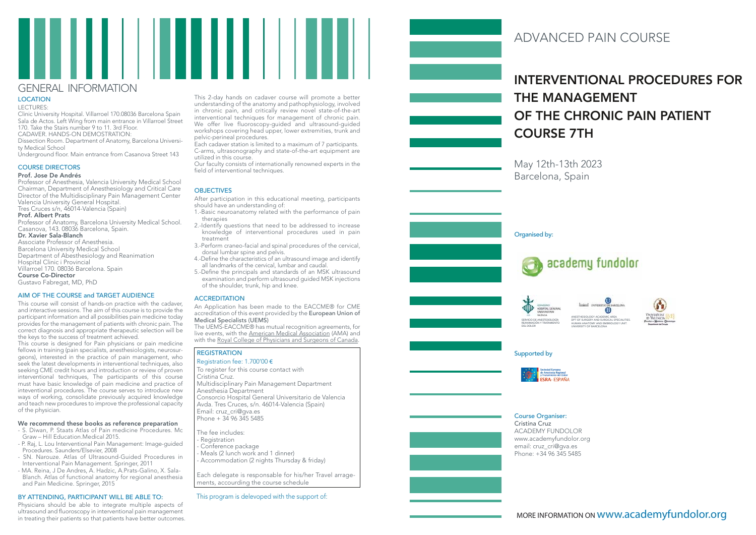# INTERVENTIONAL PROCEDURES FOR THE MANAGEMENT OF THE CHRONIC PAIN PATIENT COURSE 7TH

May 12th-13th 2023 Barcelona, Spain



# ADVANCED PAIN COURSE

#### Course Organiser: Cristina Cruz

ACADEMY FUNDOLOR www.academyfundolor.org email: cruz\_cri@gva.es Phone: +34 96 345 5485

## Supported by









DPT OF SURGERY AND SURGICAL SPECIALITIES. HUMAN ANATOMY AND EMBRIOLOGY UNIT. UNIVERSITY OF BARCELONA



LECTURES:

Clinic University Hospital. Villarroel 170.08036 Barcelona Spain Sala de Actos. Left Wing from main entrance in Villarroel Street 170. Take the Stairs number 9 to 11. 3rd Floor. CADAVER. HANDS-ON DEMOSTRATION:

Dissection Room. Department of Anatomy, Barcelona Universi ty Medical School

Underground floor. Main entrance from Casanova Street 143

## COURSE DIRECTORS

### Prof. Jose De Andrés

Professor of Anesthesia, Valencia University Medical School Chairman, Department of Anesthesiology and Critical Care Director of the Multidisciplinary Pain Management Center Valencia University General Hospital. Tres Cruces s/n, 46014-Valencia (Spain)

Prof. Albert Prats

Professor of Anatomy, Barcelona University Medical School. Casanova, 143. 08036 Barcelona, Spain.

#### Dr. Xavier Sala-Blanch

Associate Professor of Anesthesia. Barcelona University Medical School Department of Abesthesiology and Reanimation Hospital Clinic i Provincial Villarroel 170. 08036 Barcelona. Spain Course Co-Director Gustavo Fabregat, MD, PhD

## AIM OF THE COURSE and TARGET AUDIENCE

This course will consist of hands-on practice with the cadaver, and interactive sessions. The aim of this course is to provide the participant information and all possibilities pain medicine today provides for the management of patients with chronic pain. The correct diagnosis and appropriate therapeutic selection will be the keys to the success of treatment achieved.

After participation in this educational meeting, participants should have an understanding of:

This course is designed for Pain physicians or pain medicine fellows in training (pain specialists, anesthesiologists, neurosur geons), interested in the practice of pain management, who seek the latest developments in interventional techniques, also seeking CME credit hours and introduction or review of proven interventional techniques, The participants of this course must have basic knowledge of pain medicine and practice of inteventional procedures. The course serves to introduce new ways of working, consolidate previously acquired knowledge and teach new procedures to improve the professional capacity of the physician.

Registration fee: 1.700'00 € To register for this course contact with Cristina Cruz. Multidisciplinary Pain Management Department Anesthesia Department Consorcio Hospital General Universitario de Valencia Avda. Tres Cruces, s/n. 46014-Valencia (Spain) Email: cruz\_cri@gva.es Phone +  $34\overline{4}$  96 345 5485

### We recommend these books as reference preparation

- Registration
- Conference package
- Meals (2 lunch work and 1 dinner)
- Accommodation (2 nights Thursday & friday)
- S. Diwan, P. Staats Atlas of Pain medicine Procedures. Mc
- Graw Hill Education.Medical 2015.
- P. Raj, L. Lou Interventional Pain Management: Image-guided Procedures. Saunders/Elsevier, 2008
- SN. Narouze. Atlas of Ultrasound-Guided Procedures in Interventional Pain Management. Springer, 2011
- MA. Reina, J De Andres, A. Hadzic, A.Prats-Galino, X. Sala Blanch. Atlas of functional anatomy for regional anesthesia and Pain Medicine. Springer, 2015

## BY ATTENDING, PARTICIPANT WILL BE ABLE TO:

Physicians should be able to integrate multiple aspects of ultrasound and fluoroscopy in interventional pain management in treating their patients so that patients have better outcomes. This 2-day hands on cadaver course will promote a better understanding of the anatomy and pathophysiology, involved in chronic pain, and critically review novel state-of-the-art in enforce pain, and entitially follow noted state of the art We offer live fluoroscopy-guided and ultrasound-guided workshops covering head upper, lower extremities, trunk and pelvic-perineal procedures.

Each cadaver station is limited to a maximum of 7 participants. C-arms, ultrasonography and state-of-the-art equipment are utilized in this course.

Our faculty consists of internationally renowned experts in the field of interventional techniques.

## **OBJECTIVES**

- 1.-Basic neuroanatomy related with the performance of pain therapies
- 2.-Identify questions that need to be addressed to increase knowledge of interventional procedures used in pain treatment
- 3.-Perform craneo-facial and spinal procedures of the cervical, dorsal lumbar spine and pelvis.
- 4.-Define the characteristics of an ultrasound image and identify all landmarks of the cervical, lumbar and caudal.
- 5.-Define the principals and standards of an MSK ultrasound examination and perform ultrasound guided MSK injections of the shoulder, trunk, hip and knee.

## **ACCREDITATION**

An Application has been made to the EACCME® for CME accreditation of this event provided by the European Union of Medical Specialists (UEMS)

The UEMS-EACCME® has mutual recognition agreements, for live events, with the American Medical Association (AMA) and with the Royal College of Physicians and Surgeons of Canada .

## **REGISTRATION**

The fee includes:

Each delegate is responsable for his/her Travel arrage ments, accourding the course schedule

## GENERAL INFORM ATION

## **LOCATION**

This program is delevoped with the support of: